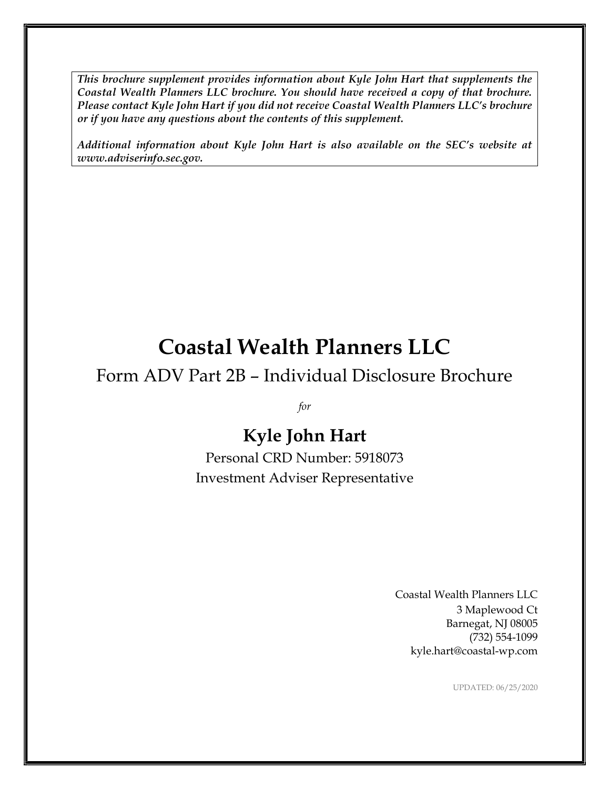This brochure supplement provides information about Kyle John Hart that supplements the Coastal Wealth Planners LLC brochure. You should have received a copy of that brochure. Please contact Kyle John Hart if you did not receive Coastal Wealth Planners LLC's brochure or if you have any questions about the contents of this supplement.

Additional information about Kyle John Hart is also available on the SEC's website at www.adviserinfo.sec.gov.

# Coastal Wealth Planners LLC

### Form ADV Part 2B – Individual Disclosure Brochure

for

## Kyle John Hart

Personal CRD Number: 5918073 Investment Adviser Representative

> Coastal Wealth Planners LLC 3 Maplewood Ct Barnegat, NJ 08005 (732) 554-1099 kyle.hart@coastal-wp.com

> > UPDATED: 06/25/2020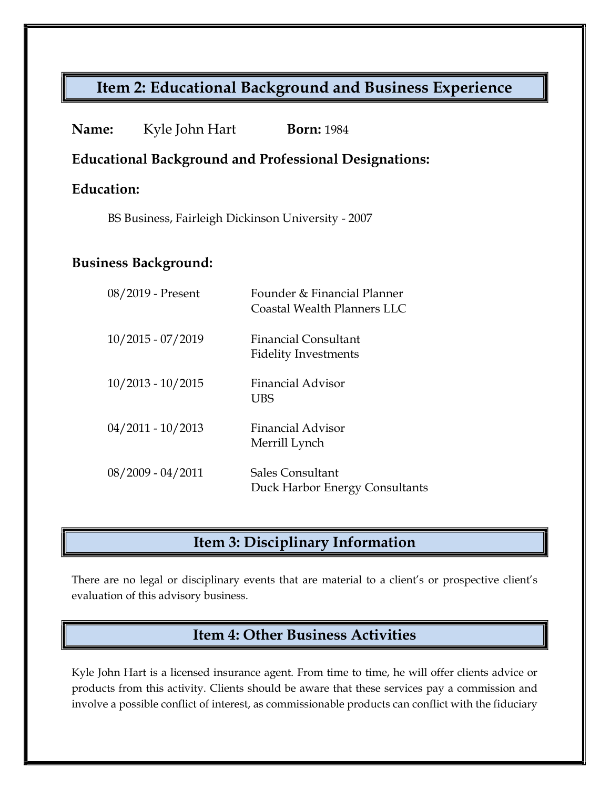### Item 2: Educational Background and Business Experience

| <b>Name:</b>                                                 | Kyle John Hart      | <b>Born: 1984</b>                                          |
|--------------------------------------------------------------|---------------------|------------------------------------------------------------|
| <b>Educational Background and Professional Designations:</b> |                     |                                                            |
| Education:                                                   |                     |                                                            |
| BS Business, Fairleigh Dickinson University - 2007           |                     |                                                            |
|                                                              |                     |                                                            |
| <b>Business Background:</b>                                  |                     |                                                            |
|                                                              | 08/2019 - Present   | Founder & Financial Planner<br>Coastal Wealth Planners LLC |
|                                                              | $10/2015 - 07/2019$ | <b>Financial Consultant</b><br><b>Fidelity Investments</b> |
|                                                              | $10/2013 - 10/2015$ | <b>Financial Advisor</b><br><b>UBS</b>                     |
|                                                              | $04/2011 - 10/2013$ | Financial Advisor<br>Merrill Lynch                         |
|                                                              | $08/2009 - 04/2011$ | <b>Sales Consultant</b><br>Duck Harbor Energy Consultants  |

### Item 3: Disciplinary Information

There are no legal or disciplinary events that are material to a client's or prospective client's evaluation of this advisory business.

### Item 4: Other Business Activities

Kyle John Hart is a licensed insurance agent. From time to time, he will offer clients advice or products from this activity. Clients should be aware that these services pay a commission and involve a possible conflict of interest, as commissionable products can conflict with the fiduciary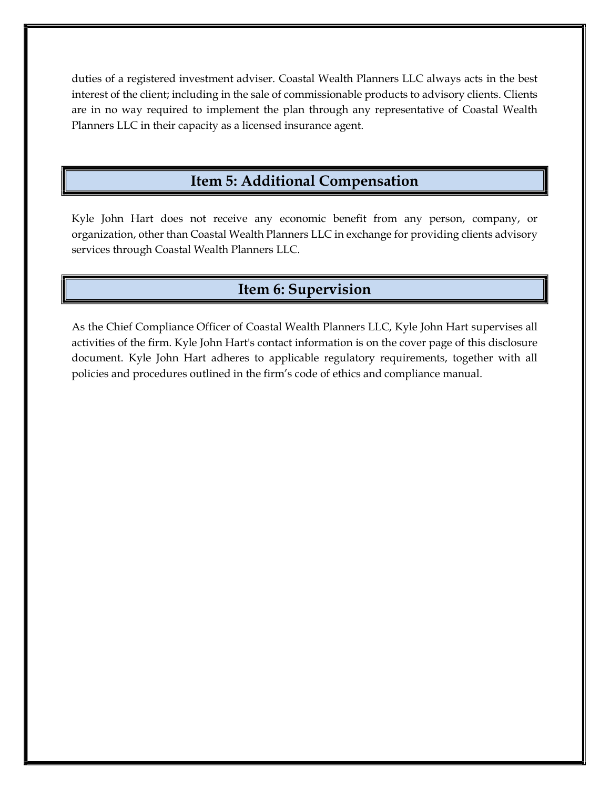duties of a registered investment adviser. Coastal Wealth Planners LLC always acts in the best interest of the client; including in the sale of commissionable products to advisory clients. Clients are in no way required to implement the plan through any representative of Coastal Wealth Planners LLC in their capacity as a licensed insurance agent.

#### Item 5: Additional Compensation

Kyle John Hart does not receive any economic benefit from any person, company, or organization, other than Coastal Wealth Planners LLC in exchange for providing clients advisory services through Coastal Wealth Planners LLC.

#### Item 6: Supervision

As the Chief Compliance Officer of Coastal Wealth Planners LLC, Kyle John Hart supervises all activities of the firm. Kyle John Hart's contact information is on the cover page of this disclosure document. Kyle John Hart adheres to applicable regulatory requirements, together with all policies and procedures outlined in the firm's code of ethics and compliance manual.